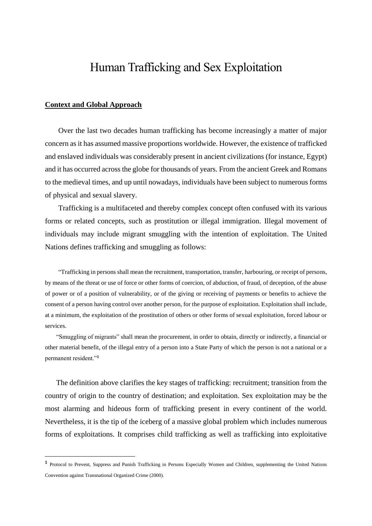# Human Trafficking and Sex Exploitation

#### **Context and Global Approach**

**.** 

Over the last two decades human trafficking has become increasingly a matter of major concern as it has assumed massive proportions worldwide. However, the existence of trafficked and enslaved individuals was considerably present in ancient civilizations (for instance, Egypt) and it has occurred across the globe for thousands of years. From the ancient Greek and Romans to the medieval times, and up until nowadays, individuals have been subject to numerous forms of physical and sexual slavery.

Trafficking is a multifaceted and thereby complex concept often confused with its various forms or related concepts, such as prostitution or illegal immigration. Illegal movement of individuals may include migrant smuggling with the intention of exploitation. The United Nations defines trafficking and smuggling as follows:

"Trafficking in persons shall mean the recruitment, transportation, transfer, harbouring, or receipt of persons, by means of the threat or use of force or other forms of coercion, of abduction, of fraud, of deception, of the abuse of power or of a position of vulnerability, or of the giving or receiving of payments or benefits to achieve the consent of a person having control over another person, for the purpose of exploitation. Exploitation shall include, at a minimum, the exploitation of the prostitution of others or other forms of sexual exploitation, forced labour or services.

"Smuggling of migrants" shall mean the procurement, in order to obtain, directly or indirectly, a financial or other material benefit, of the illegal entry of a person into a State Party of which the person is not a national or a permanent resident."**<sup>1</sup>**

The definition above clarifies the key stages of trafficking: recruitment; transition from the country of origin to the country of destination; and exploitation. Sex exploitation may be the most alarming and hideous form of trafficking present in every continent of the world. Nevertheless, it is the tip of the iceberg of a massive global problem which includes numerous forms of exploitations. It comprises child trafficking as well as trafficking into exploitative

**<sup>1</sup>** Protocol to Prevent, Suppress and Punish Trafficking in Persons Especially Women and Children, supplementing the United Nations Convention against Transnational Organized Crime (2000).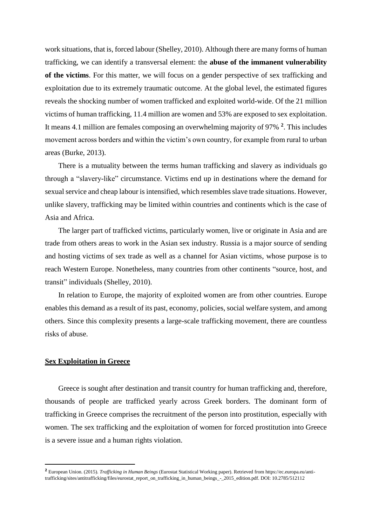work situations, that is, forced labour (Shelley, 2010). Although there are many forms of human trafficking, we can identify a transversal element: the **abuse of the immanent vulnerability of the victims**. For this matter, we will focus on a gender perspective of sex trafficking and exploitation due to its extremely traumatic outcome. At the global level, the estimated figures reveals the shocking number of women trafficked and exploited world-wide. Of the 21 million victims of human trafficking, 11.4 million are women and 53% are exposed to sex exploitation. It means 4.1 million are females composing an overwhelming majority of 97% **<sup>2</sup>** . This includes movement across borders and within the victim's own country, for example from rural to urban areas (Burke, 2013).

There is a mutuality between the terms human trafficking and slavery as individuals go through a "slavery-like" circumstance. Victims end up in destinations where the demand for sexual service and cheap labour is intensified, which resembles slave trade situations. However, unlike slavery, trafficking may be limited within countries and continents which is the case of Asia and Africa.

The larger part of trafficked victims, particularly women, live or originate in Asia and are trade from others areas to work in the Asian sex industry. Russia is a major source of sending and hosting victims of sex trade as well as a channel for Asian victims, whose purpose is to reach Western Europe. Nonetheless, many countries from other continents "source, host, and transit" individuals (Shelley, 2010).

In relation to Europe, the majority of exploited women are from other countries. Europe enables this demand as a result of its past, economy, policies, social welfare system, and among others. Since this complexity presents a large-scale trafficking movement, there are countless risks of abuse.

#### **Sex Exploitation in Greece**

 $\overline{a}$ 

Greece is sought after destination and transit country for human trafficking and, therefore, thousands of people are trafficked yearly across Greek borders. The dominant form of trafficking in Greece comprises the recruitment of the person into prostitution, especially with women. The sex trafficking and the exploitation of women for forced prostitution into Greece is a severe issue and a human rights violation.

**<sup>2</sup>** European Union. (2015). *Trafficking in Human Beings* (Eurostat Statistical Working paper). Retrieved from https://ec.europa.eu/antitrafficking/sites/antitrafficking/files/eurostat\_report\_on\_trafficking\_in\_human\_beings\_-\_2015\_edition.pdf. DOI: 10.2785/512112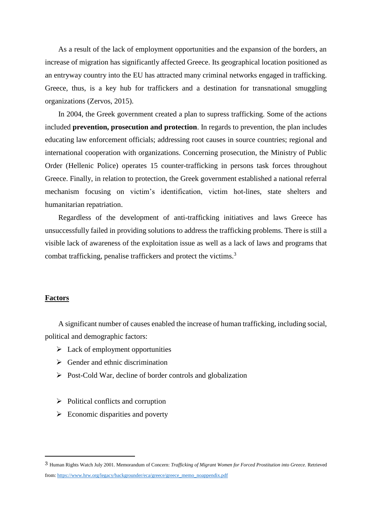As a result of the lack of employment opportunities and the expansion of the borders, an increase of migration has significantly affected Greece. Its geographical location positioned as an entryway country into the EU has attracted many criminal networks engaged in trafficking. Greece, thus, is a key hub for traffickers and a destination for transnational smuggling organizations (Zervos, 2015).

In 2004, the Greek government created a plan to supress trafficking. Some of the actions included **prevention, prosecution and protection**. In regards to prevention, the plan includes educating law enforcement officials; addressing root causes in source countries; regional and international cooperation with organizations. Concerning prosecution, the Ministry of Public Order (Hellenic Police) operates 15 counter-trafficking in persons task forces throughout Greece. Finally, in relation to protection, the Greek government established a national referral mechanism focusing on victim's identification, victim hot-lines, state shelters and humanitarian repatriation.

Regardless of the development of anti-trafficking initiatives and laws Greece has unsuccessfully failed in providing solutions to address the trafficking problems. There is still a visible lack of awareness of the exploitation issue as well as a lack of laws and programs that combat trafficking, penalise traffickers and protect the victims.<sup>3</sup>

#### **Factors**

1

A significant number of causes enabled the increase of human trafficking, including social, political and demographic factors:

- $\triangleright$  Lack of employment opportunities
- $\triangleright$  Gender and ethnic discrimination
- $\triangleright$  Post-Cold War, decline of border controls and globalization
- $\triangleright$  Political conflicts and corruption
- $\triangleright$  Economic disparities and poverty

<sup>3</sup> Human Rights Watch July 2001. Memorandum of Concern: *Trafficking of Migrant Women for Forced Prostitution into Greece.* Retrieved from: [https://www.hrw.org/legacy/backgrounder/eca/greece/greece\\_memo\\_noappendix.pdf](https://www.hrw.org/legacy/backgrounder/eca/greece/greece_memo_noappendix.pdf)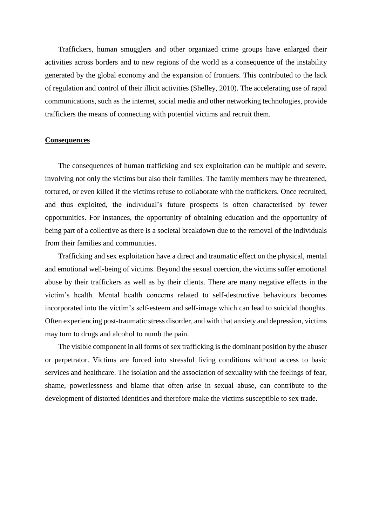Traffickers, human smugglers and other organized crime groups have enlarged their activities across borders and to new regions of the world as a consequence of the instability generated by the global economy and the expansion of frontiers. This contributed to the lack of regulation and control of their illicit activities (Shelley, 2010). The accelerating use of rapid communications, such as the internet, social media and other networking technologies, provide traffickers the means of connecting with potential victims and recruit them.

#### **Consequences**

The consequences of human trafficking and sex exploitation can be multiple and severe, involving not only the victims but also their families. The family members may be threatened, tortured, or even killed if the victims refuse to collaborate with the traffickers. Once recruited, and thus exploited, the individual's future prospects is often characterised by fewer opportunities. For instances, the opportunity of obtaining education and the opportunity of being part of a collective as there is a societal breakdown due to the removal of the individuals from their families and communities.

Trafficking and sex exploitation have a direct and traumatic effect on the physical, mental and emotional well-being of victims. Beyond the sexual coercion, the victims suffer emotional abuse by their traffickers as well as by their clients. There are many negative effects in the victim's health. Mental health concerns related to self-destructive behaviours becomes incorporated into the victim's self-esteem and self-image which can lead to suicidal thoughts. Often experiencing post-traumatic stress disorder, and with that anxiety and depression, victims may turn to drugs and alcohol to numb the pain.

The visible component in all forms of sex trafficking is the dominant position by the abuser or perpetrator. Victims are forced into stressful living conditions without access to basic services and healthcare. The isolation and the association of sexuality with the feelings of fear, shame, powerlessness and blame that often arise in sexual abuse, can contribute to the development of distorted identities and therefore make the victims susceptible to sex trade.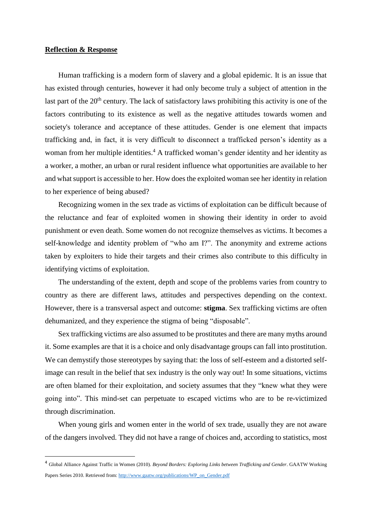#### **Reflection & Response**

**.** 

Human trafficking is a modern form of slavery and a global epidemic. It is an issue that has existed through centuries, however it had only become truly a subject of attention in the last part of the  $20<sup>th</sup>$  century. The lack of satisfactory laws prohibiting this activity is one of the factors contributing to its existence as well as the negative attitudes towards women and society's tolerance and acceptance of these attitudes. Gender is one element that impacts trafficking and, in fact, it is very difficult to disconnect a trafficked person's identity as a woman from her multiple identities.<sup>4</sup> A trafficked woman's gender identity and her identity as a worker, a mother, an urban or rural resident influence what opportunities are available to her and what support is accessible to her. How does the exploited woman see her identity in relation to her experience of being abused?

Recognizing women in the sex trade as victims of exploitation can be difficult because of the reluctance and fear of exploited women in showing their identity in order to avoid punishment or even death. Some women do not recognize themselves as victims. It becomes a self-knowledge and identity problem of "who am I?". The anonymity and extreme actions taken by exploiters to hide their targets and their crimes also contribute to this difficulty in identifying victims of exploitation.

The understanding of the extent, depth and scope of the problems varies from country to country as there are different laws, attitudes and perspectives depending on the context. However, there is a transversal aspect and outcome: **stigma**. Sex trafficking victims are often dehumanized, and they experience the stigma of being "disposable".

Sex trafficking victims are also assumed to be prostitutes and there are many myths around it. Some examples are that it is a choice and only disadvantage groups can fall into prostitution. We can demystify those stereotypes by saying that: the loss of self-esteem and a distorted selfimage can result in the belief that sex industry is the only way out! In some situations, victims are often blamed for their exploitation, and society assumes that they "knew what they were going into". This mind-set can perpetuate to escaped victims who are to be re-victimized through discrimination.

When young girls and women enter in the world of sex trade, usually they are not aware of the dangers involved. They did not have a range of choices and, according to statistics, most

<sup>4</sup> Global Alliance Against Traffic in Women (2010). *Beyond Borders: Exploring Links between Trafficking and Gender*. GAATW Working Papers Series 2010. Retrieved from: [http://www.gaatw.org/publications/WP\\_on\\_Gender.pdf](http://www.gaatw.org/publications/WP_on_Gender.pdf)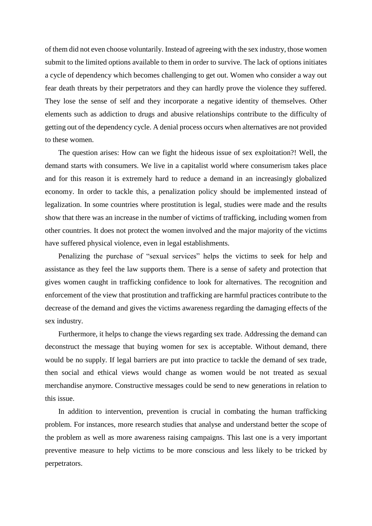of them did not even choose voluntarily. Instead of agreeing with the sex industry, those women submit to the limited options available to them in order to survive. The lack of options initiates a cycle of dependency which becomes challenging to get out. Women who consider a way out fear death threats by their perpetrators and they can hardly prove the violence they suffered. They lose the sense of self and they incorporate a negative identity of themselves. Other elements such as addiction to drugs and abusive relationships contribute to the difficulty of getting out of the dependency cycle. A denial process occurs when alternatives are not provided to these women.

The question arises: How can we fight the hideous issue of sex exploitation?! Well, the demand starts with consumers. We live in a capitalist world where consumerism takes place and for this reason it is extremely hard to reduce a demand in an increasingly globalized economy. In order to tackle this, a penalization policy should be implemented instead of legalization. In some countries where prostitution is legal, studies were made and the results show that there was an increase in the number of victims of trafficking, including women from other countries. It does not protect the women involved and the major majority of the victims have suffered physical violence, even in legal establishments.

Penalizing the purchase of "sexual services" helps the victims to seek for help and assistance as they feel the law supports them. There is a sense of safety and protection that gives women caught in trafficking confidence to look for alternatives. The recognition and enforcement of the view that prostitution and trafficking are harmful practices contribute to the decrease of the demand and gives the victims awareness regarding the damaging effects of the sex industry.

Furthermore, it helps to change the views regarding sex trade. Addressing the demand can deconstruct the message that buying women for sex is acceptable. Without demand, there would be no supply. If legal barriers are put into practice to tackle the demand of sex trade, then social and ethical views would change as women would be not treated as sexual merchandise anymore. Constructive messages could be send to new generations in relation to this issue.

In addition to intervention, prevention is crucial in combating the human trafficking problem. For instances, more research studies that analyse and understand better the scope of the problem as well as more awareness raising campaigns. This last one is a very important preventive measure to help victims to be more conscious and less likely to be tricked by perpetrators.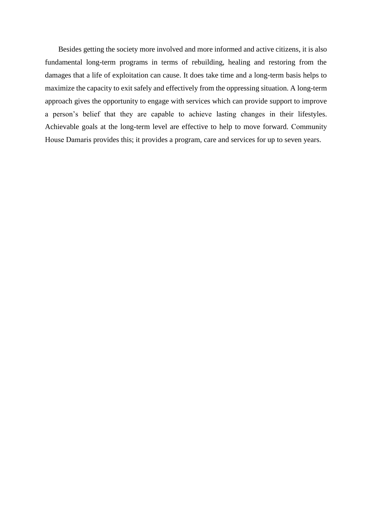Besides getting the society more involved and more informed and active citizens, it is also fundamental long-term programs in terms of rebuilding, healing and restoring from the damages that a life of exploitation can cause. It does take time and a long-term basis helps to maximize the capacity to exit safely and effectively from the oppressing situation. A long-term approach gives the opportunity to engage with services which can provide support to improve a person's belief that they are capable to achieve lasting changes in their lifestyles. Achievable goals at the long-term level are effective to help to move forward. Community House Damaris provides this; it provides a program, care and services for up to seven years.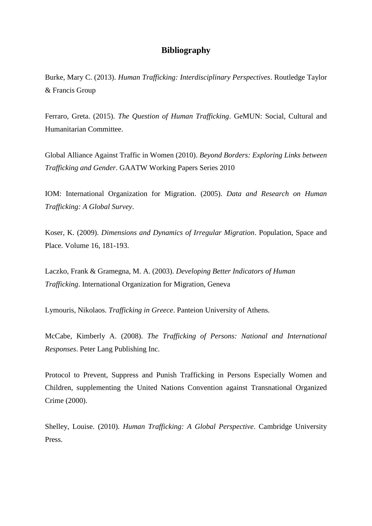### **Bibliography**

Burke, Mary C. (2013). *Human Trafficking: Interdisciplinary Perspectives*. Routledge Taylor & Francis Group

Ferraro, Greta. (2015). *The Question of Human Trafficking*. GeMUN: Social, Cultural and Humanitarian Committee.

Global Alliance Against Traffic in Women (2010). *Beyond Borders: Exploring Links between Trafficking and Gender*. GAATW Working Papers Series 2010

IOM: International Organization for Migration. (2005). *Data and Research on Human Trafficking: A Global Survey*.

Koser, K. (2009). *Dimensions and Dynamics of Irregular Migration*. Population, Space and Place. Volume 16, 181-193.

Laczko, Frank & Gramegna, M. A. (2003). *Developing Better Indicators of Human Trafficking*. International Organization for Migration, Geneva

Lymouris, Nikolaos. *Trafficking in Greece*. Panteion University of Athens.

McCabe, Kimberly A. (2008). *The Trafficking of Persons: National and International Responses*. Peter Lang Publishing Inc.

Protocol to Prevent, Suppress and Punish Trafficking in Persons Especially Women and Children, supplementing the United Nations Convention against Transnational Organized Crime (2000).

Shelley, Louise. (2010). *Human Trafficking: A Global Perspective*. Cambridge University Press.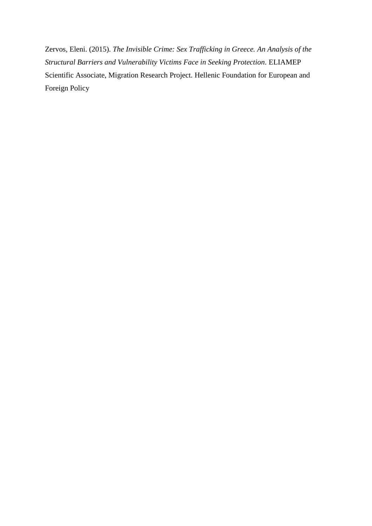Zervos, Eleni. (2015). *The Invisible Crime: Sex Trafficking in Greece. An Analysis of the Structural Barriers and Vulnerability Victims Face in Seeking Protection*. ELIAMEP Scientific Associate, Migration Research Project. Hellenic Foundation for European and Foreign Policy